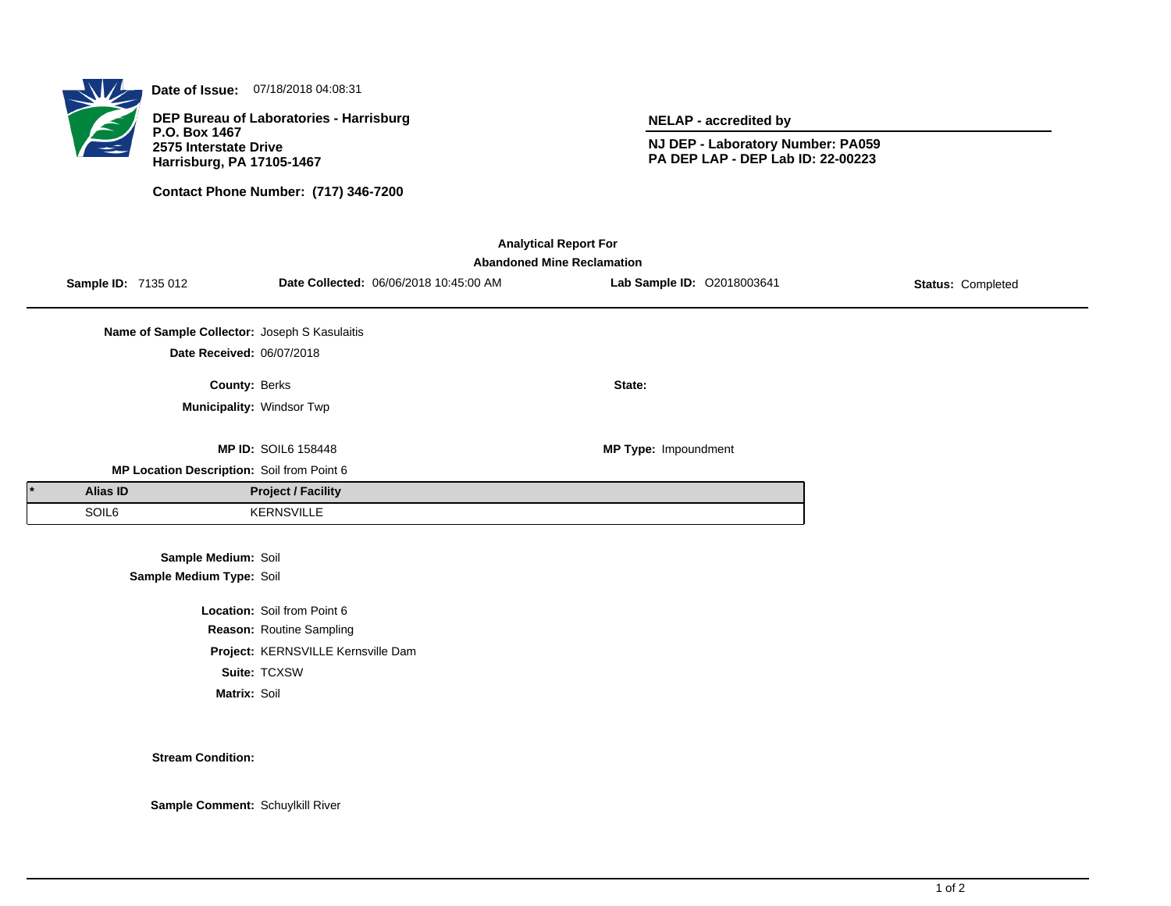

**Date of Issue:** 07/18/2018 04:08:31

**DEP Bureau of Laboratories - Harrisburg P.O. Box 1467 2575 Interstate Drive Harrisburg, PA 17105-1467**

**Contact Phone Number: (717) 346-7200**

**NELAP - accredited by**

**NJ DEP - Laboratory Number: PA059 PA DEP LAP - DEP Lab ID: 22-00223**

| <b>Analytical Report For</b><br><b>Abandoned Mine Reclamation</b> |                 |                                                 |                                    |                                        |                             |                   |  |  |  |
|-------------------------------------------------------------------|-----------------|-------------------------------------------------|------------------------------------|----------------------------------------|-----------------------------|-------------------|--|--|--|
|                                                                   |                 | Sample ID: 7135 012                             |                                    | Date Collected: 06/06/2018 10:45:00 AM | Lab Sample ID: 02018003641  | Status: Completed |  |  |  |
|                                                                   |                 | Name of Sample Collector: Joseph S Kasulaitis   |                                    |                                        |                             |                   |  |  |  |
|                                                                   |                 | Date Received: 06/07/2018                       |                                    |                                        |                             |                   |  |  |  |
|                                                                   |                 | <b>County: Berks</b>                            |                                    |                                        | State:                      |                   |  |  |  |
|                                                                   |                 | Municipality: Windsor Twp                       |                                    |                                        |                             |                   |  |  |  |
|                                                                   |                 |                                                 | <b>MP ID: SOIL6 158448</b>         |                                        | <b>MP Type: Impoundment</b> |                   |  |  |  |
|                                                                   |                 | MP Location Description: Soil from Point 6      |                                    |                                        |                             |                   |  |  |  |
|                                                                   | <b>Alias ID</b> |                                                 | <b>Project / Facility</b>          |                                        |                             |                   |  |  |  |
|                                                                   | SOIL6           |                                                 | <b>KERNSVILLE</b>                  |                                        |                             |                   |  |  |  |
|                                                                   |                 | Sample Medium: Soil<br>Sample Medium Type: Soil |                                    |                                        |                             |                   |  |  |  |
|                                                                   |                 |                                                 | Location: Soil from Point 6        |                                        |                             |                   |  |  |  |
|                                                                   |                 |                                                 | Reason: Routine Sampling           |                                        |                             |                   |  |  |  |
|                                                                   |                 |                                                 | Project: KERNSVILLE Kernsville Dam |                                        |                             |                   |  |  |  |
|                                                                   |                 |                                                 | Suite: TCXSW                       |                                        |                             |                   |  |  |  |
|                                                                   |                 | Matrix: Soil                                    |                                    |                                        |                             |                   |  |  |  |

**Stream Condition:**

**Sample Comment:** Schuylkill River